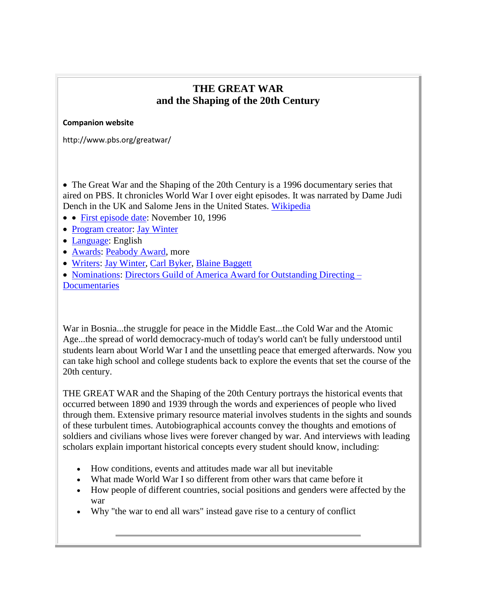## **THE GREAT WAR and the Shaping of the 20th Century**

#### **Companion website**

http://www.pbs.org/greatwar/

 The Great War and the Shaping of the 20th Century is a 1996 documentary series that aired on PBS. It chronicles World War I over eight episodes. It was narrated by Dame Judi Dench in the UK and Salome Jens in the United States. [Wikipedia](http://en.wikipedia.org/wiki/The_Great_War_and_the_Shaping_of_the_20th_Century)

- [First episode date:](https://www.google.ca/search?client=firefox-a&hs=mU2&rls=org.mozilla:en-US:official&channel=sb&biw=1920&bih=969&q=the+great+war+and+the+shaping+of+the+20th+century+first+episode+date&stick=H4sIAAAAAAAAAGOovnz8BQMDgz4HnxCXfq6-gUlOWkpGjpZ8drKVfkkZEMUXFOWnFyXmWqVlFhWXKKQWZBbnp6QmfJzckmb_-f2ptdXC81qOBgaZtN8CAN7P6T5MAAAA&sa=X&ei=M4LeU42xJ8GcyATX2IDwDg&ved=0CIoBEOgTKAEwDw) November 10, 1996
- [Program creator:](https://www.google.ca/search?client=firefox-a&hs=mU2&rls=org.mozilla:en-US:official&channel=sb&biw=1920&bih=969&q=the+great+war+and+the+shaping+of+the+20th+century+program+creator&stick=H4sIAAAAAAAAAGOovnz8BQMDgyEHnxCXfq6-gUlOWkpGjpZidrKVfkkZEMUXFOWnFyXmWkFpheSi1MSS_KKZH5T192dwL5Y489FbKyt0hdAE_-0AbCbZ6E4AAAA&sa=X&ei=M4LeU42xJ8GcyATX2IDwDg&ved=0CI4BEOgTKAEwEA) [Jay Winter](https://www.google.ca/search?client=firefox-a&hs=mU2&rls=org.mozilla:en-US:official&channel=sb&biw=1920&bih=969&q=jay+winter&stick=H4sIAAAAAAAAAGOovnz8BQMDgy0HnxCXfq6-gUlOWkpGjhKYbWSWnZxRpqWYnWylX1IGRPEFRfnpRYm5VlBaIbkoNbEkv2hn_y8nw8WLlnd2XPr3Lev6jZO3zIIA_5Kw11oAAAA&sa=X&ei=M4LeU42xJ8GcyATX2IDwDg&ved=0CI8BEJsTKAIwEA)
- [Language:](https://www.google.ca/search?client=firefox-a&hs=mU2&rls=org.mozilla:en-US:official&channel=sb&biw=1920&bih=969&q=the+great+war+and+the+shaping+of+the+20th+century+language&stick=H4sIAAAAAAAAAGOovnz8BQMDgxYHnxCXfq6-gUlOWkpGjpZUdrKVfkkZEMUXFOWnFyXmWuUk5qWXJqan-kSxzF21km2xs6C_p4-aQOa1F38kAdu1nKhHAAAA&sa=X&ei=M4LeU42xJ8GcyATX2IDwDg&ved=0CJMBEOgTKAEwEQ) English
- [Awards:](https://www.google.ca/search?client=firefox-a&hs=mU2&rls=org.mozilla:en-US:official&channel=sb&biw=1920&bih=969&q=the+great+war+and+the+shaping+of+the+20th+century+awards&stick=H4sIAAAAAAAAAGOovnz8BQMDgy4HnxCXfq6-gUlOWkpGjpZsdrKVfmJ5YlEKhIwvz8zLSy2yAnOKJx30OjpPQ2dF9ft_1xKarF-lcvpcBgBw9PGsSgAAAA&sa=X&ei=M4LeU42xJ8GcyATX2IDwDg&ved=0CJcBEOgTKAEwEg) [Peabody Award,](https://www.google.ca/search?client=firefox-a&hs=mU2&rls=org.mozilla:en-US:official&channel=sb&biw=1920&bih=969&q=peabody+award&stick=H4sIAAAAAAAAAGOovnz8BQMDgzkHnxCXfq6-gUlOWkpGjhIHiJ1rXlmpJZudbKWfWJ5YlAIh48sz8_JSi6zAnOKVzD8ZK8T25bzgXTa97gtP1S_BHQcArQzDUVQAAAA&sa=X&ei=M4LeU42xJ8GcyATX2IDwDg&ved=0CJgBEJsTKAIwEg) more
- [Writers:](https://www.google.ca/search?client=firefox-a&hs=mU2&rls=org.mozilla:en-US:official&channel=sb&biw=1920&bih=969&q=the+great+war+and+the+shaping+of+the+20th+century+writers&stick=H4sIAAAAAAAAAGOovnz8BQMDgyYHnxCXfq6-gUlOWkpGjpZkdrKVfkkZEMUXFOWnFyXmWpUXZZakFhXHxy1ZuOHXahbfFekBv78YsD-QNOIEAKGFN_dGAAAA&sa=X&ei=M4LeU42xJ8GcyATX2IDwDg&ved=0CKABEOgTKAEwEw) [Jay Winter,](https://www.google.ca/search?client=firefox-a&hs=mU2&rls=org.mozilla:en-US:official&channel=sb&biw=1920&bih=969&q=jay+winter&stick=H4sIAAAAAAAAAGOovnz8BQMDgykHnxCXfq6-gUlOWkpGjhKYbWSWnZxRpiWZnWylX1IGRPEFRfnpRYm5VuVFmSWpRcWvmpv2h-nOFhURjA1Ptp--nz3AZzEA9YGx1lIAAAA&sa=X&ei=M4LeU42xJ8GcyATX2IDwDg&ved=0CKEBEJsTKAIwEw) Carl [Byker,](https://www.google.ca/search?client=firefox-a&hs=mU2&rls=org.mozilla:en-US:official&channel=sb&biw=1920&bih=969&q=carl+byker&stick=H4sIAAAAAAAAAGOovnz8BQMDgykHnxCXfq6-gUlOWkpGjhKYnVKRlpSdpiWZnWylX1IGRPEFRfnpRYm5VuVFmSWpRcWNC_b92fUzh3elkC7LlpRE1ty53bUA3_-FyFIAAAA&sa=X&ei=M4LeU42xJ8GcyATX2IDwDg&ved=0CKIBEJsTKAMwEw) [Blaine Baggett](https://www.google.ca/search?client=firefox-a&hs=mU2&rls=org.mozilla:en-US:official&channel=sb&biw=1920&bih=969&q=blaine+baggett&stick=H4sIAAAAAAAAAGOovnz8BQMDgykHnxCXfq6-gUlOWkpGjhKYbVZWZZBioiWZnWylX1IGRPEFRfnpRYm5VuVFmSWpRcVKZ7YZPOG4z5ekFGEdxn2K_fii_SUA8P8cNFIAAAA&sa=X&ei=M4LeU42xJ8GcyATX2IDwDg&ved=0CKMBEJsTKAQwEw)
- [Nominations:](https://www.google.ca/search?client=firefox-a&hs=mU2&rls=org.mozilla:en-US:official&channel=sb&biw=1920&bih=969&q=the+great+war+and+the+shaping+of+the+20th+century+nominations&stick=H4sIAAAAAAAAAGOovnz8BQMDgxEHnxCXfq6-gUlOWkpGjpZSdrKVfmJ5YlEKhIwvz8zLSy2yysvPzcxLLMnMzyueci7l17K3l0LmrUrQ-2iR32rLe0YEAN-bbwFPAAAA&sa=X&ei=M4LeU42xJ8GcyATX2IDwDg&ved=0CKcBEOgTKAEwFA) [Directors Guild of America Award for Outstanding Directing –](https://www.google.ca/search?client=firefox-a&hs=mU2&rls=org.mozilla:en-US:official&channel=sb&biw=1920&bih=969&q=directors+guild+of+america+award+for+outstanding+directing+documentaries&stick=H4sIAAAAAAAAAGOovnz8BQMDgx0HnxCXfq6-gUlOWkpGjhKYbZlmYGGQo6WUnWyln1ieWJQCIePLM_PyUous8vJzM_MSSzLz84oflT7fYq58z7NCV8Na5mgoc2FE2yYAOBfND1sAAAA&sa=X&ei=M4LeU42xJ8GcyATX2IDwDg&ved=0CKgBEJsTKAIwFA) **[Documentaries](https://www.google.ca/search?client=firefox-a&hs=mU2&rls=org.mozilla:en-US:official&channel=sb&biw=1920&bih=969&q=directors+guild+of+america+award+for+outstanding+directing+documentaries&stick=H4sIAAAAAAAAAGOovnz8BQMDgx0HnxCXfq6-gUlOWkpGjhKYbZlmYGGQo6WUnWyln1ieWJQCIePLM_PyUous8vJzM_MSSzLz84oflT7fYq58z7NCV8Na5mgoc2FE2yYAOBfND1sAAAA&sa=X&ei=M4LeU42xJ8GcyATX2IDwDg&ved=0CKgBEJsTKAIwFA)**

War in Bosnia...the struggle for peace in the Middle East...the Cold War and the Atomic Age...the spread of world democracy-much of today's world can't be fully understood until students learn about World War I and the unsettling peace that emerged afterwards. Now you can take high school and college students back to explore the events that set the course of the 20th century.

THE GREAT WAR and the Shaping of the 20th Century portrays the historical events that occurred between 1890 and 1939 through the words and experiences of people who lived through them. Extensive primary resource material involves students in the sights and sounds of these turbulent times. Autobiographical accounts convey the thoughts and emotions of soldiers and civilians whose lives were forever changed by war. And interviews with leading scholars explain important historical concepts every student should know, including:

- How conditions, events and attitudes made war all but inevitable
- What made World War I so different from other wars that came before it
- How people of different countries, social positions and genders were affected by the war
- Why "the war to end all wars" instead gave rise to a century of conflict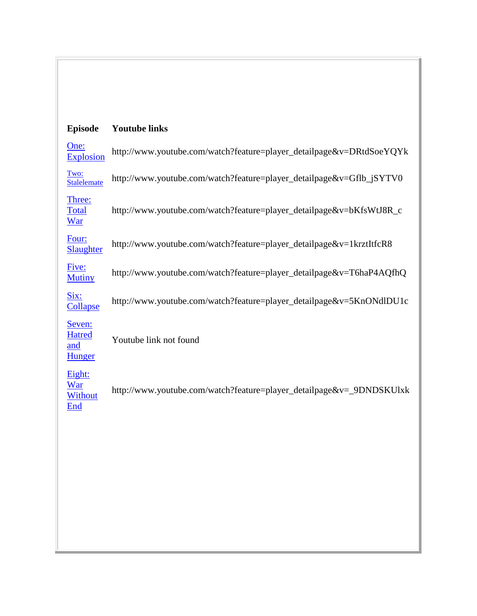# **Episode Youtube links**

| One:<br><b>Explosion</b>                        | http://www.youtube.com/watch?feature=player_detailpage&v=DRtdSoeYQYk |
|-------------------------------------------------|----------------------------------------------------------------------|
| Two:<br>Stalelemate                             | http://www.youtube.com/watch?feature=player_detailpage&v=Gflb_jSYTV0 |
| Three:<br><b>Total</b><br><u>War</u>            | http://www.youtube.com/watch?feature=player_detailpage&v=bKfsWtJ8R_c |
| Four:<br>Slaughter                              | http://www.youtube.com/watch?feature=player_detailpage&v=1krztItfcR8 |
| Five:<br><b>Mutiny</b>                          | http://www.youtube.com/watch?feature=player_detailpage&v=T6haP4AQfhQ |
| Six:<br><b>Collapse</b>                         | http://www.youtube.com/watch?feature=player_detailpage&v=5KnONdlDU1c |
| Seven:<br><b>Hatred</b><br>and<br><b>Hunger</b> | Youtube link not found                                               |
| Eight:<br>War<br>Without<br>End                 | http://www.youtube.com/watch?feature=player_detailpage&v=_9DNDSKUlxk |
|                                                 |                                                                      |
|                                                 |                                                                      |
|                                                 |                                                                      |
|                                                 |                                                                      |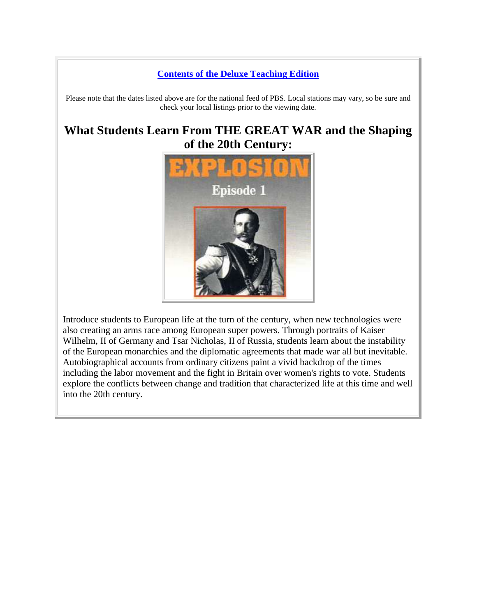#### **[Contents of the Deluxe Teaching Edition](http://www.worldwar1.com/sfpbs.htm#dte)**

Please note that the dates listed above are for the national feed of PBS. Local stations may vary, so be sure and check your local listings prior to the viewing date.

# **What Students Learn From THE GREAT WAR and the Shaping of the 20th Century:**



Introduce students to European life at the turn of the century, when new technologies were also creating an arms race among European super powers. Through portraits of Kaiser Wilhelm, II of Germany and Tsar Nicholas, II of Russia, students learn about the instability of the European monarchies and the diplomatic agreements that made war all but inevitable. Autobiographical accounts from ordinary citizens paint a vivid backdrop of the times including the labor movement and the fight in Britain over women's rights to vote. Students explore the conflicts between change and tradition that characterized life at this time and well into the 20th century.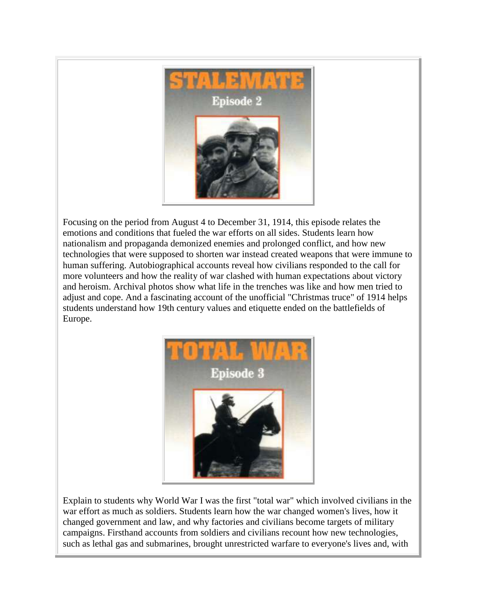

Focusing on the period from August 4 to December 31, 1914, this episode relates the emotions and conditions that fueled the war efforts on all sides. Students learn how nationalism and propaganda demonized enemies and prolonged conflict, and how new technologies that were supposed to shorten war instead created weapons that were immune to human suffering. Autobiographical accounts reveal how civilians responded to the call for more volunteers and how the reality of war clashed with human expectations about victory and heroism. Archival photos show what life in the trenches was like and how men tried to adjust and cope. And a fascinating account of the unofficial "Christmas truce" of 1914 helps students understand how 19th century values and etiquette ended on the battlefields of Europe.



Explain to students why World War I was the first "total war" which involved civilians in the war effort as much as soldiers. Students learn how the war changed women's lives, how it changed government and law, and why factories and civilians become targets of military campaigns. Firsthand accounts from soldiers and civilians recount how new technologies, such as lethal gas and submarines, brought unrestricted warfare to everyone's lives and, with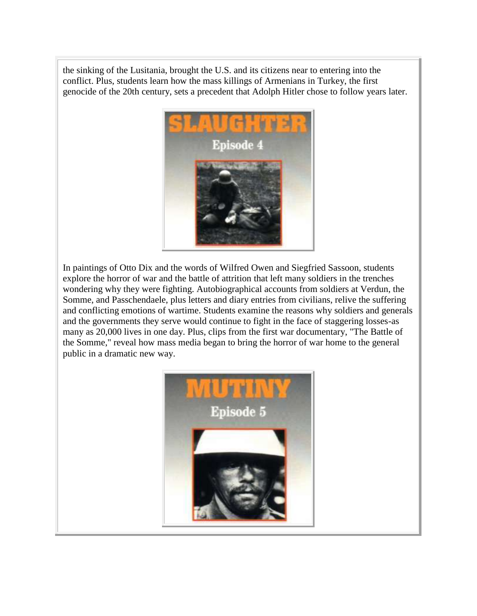the sinking of the Lusitania, brought the U.S. and its citizens near to entering into the conflict. Plus, students learn how the mass killings of Armenians in Turkey, the first genocide of the 20th century, sets a precedent that Adolph Hitler chose to follow years later.



In paintings of Otto Dix and the words of Wilfred Owen and Siegfried Sassoon, students explore the horror of war and the battle of attrition that left many soldiers in the trenches wondering why they were fighting. Autobiographical accounts from soldiers at Verdun, the Somme, and Passchendaele, plus letters and diary entries from civilians, relive the suffering and conflicting emotions of wartime. Students examine the reasons why soldiers and generals and the governments they serve would continue to fight in the face of staggering losses-as many as 20,000 lives in one day. Plus, clips from the first war documentary, "The Battle of the Somme," reveal how mass media began to bring the horror of war home to the general public in a dramatic new way.

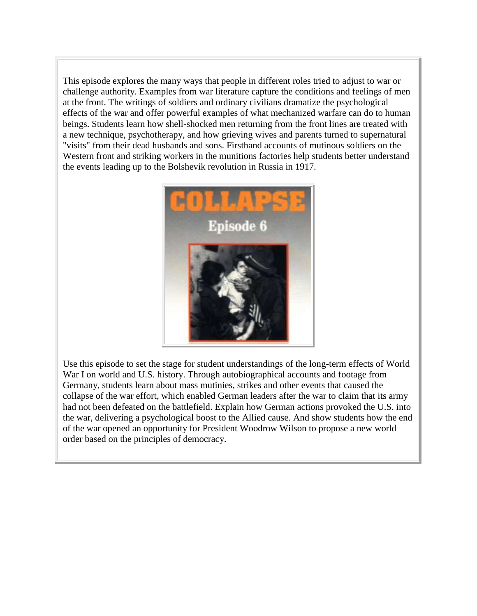This episode explores the many ways that people in different roles tried to adjust to war or challenge authority. Examples from war literature capture the conditions and feelings of men at the front. The writings of soldiers and ordinary civilians dramatize the psychological effects of the war and offer powerful examples of what mechanized warfare can do to human beings. Students learn how shell-shocked men returning from the front lines are treated with a new technique, psychotherapy, and how grieving wives and parents turned to supernatural "visits" from their dead husbands and sons. Firsthand accounts of mutinous soldiers on the Western front and striking workers in the munitions factories help students better understand the events leading up to the Bolshevik revolution in Russia in 1917.



Use this episode to set the stage for student understandings of the long-term effects of World War I on world and U.S. history. Through autobiographical accounts and footage from Germany, students learn about mass mutinies, strikes and other events that caused the collapse of the war effort, which enabled German leaders after the war to claim that its army had not been defeated on the battlefield. Explain how German actions provoked the U.S. into the war, delivering a psychological boost to the Allied cause. And show students how the end of the war opened an opportunity for President Woodrow Wilson to propose a new world order based on the principles of democracy.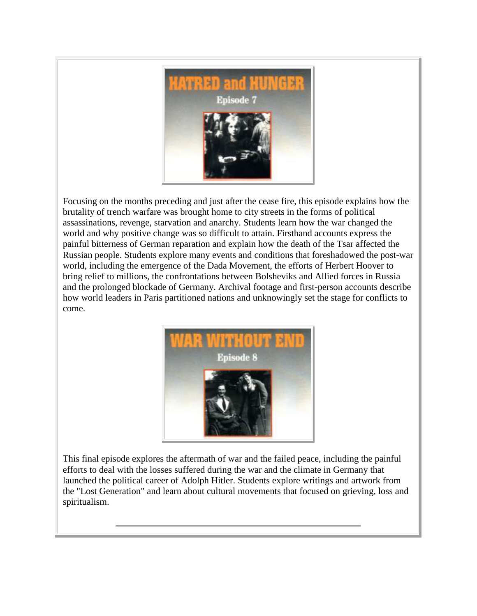

Focusing on the months preceding and just after the cease fire, this episode explains how the brutality of trench warfare was brought home to city streets in the forms of political assassinations, revenge, starvation and anarchy. Students learn how the war changed the world and why positive change was so difficult to attain. Firsthand accounts express the painful bitterness of German reparation and explain how the death of the Tsar affected the Russian people. Students explore many events and conditions that foreshadowed the post-war world, including the emergence of the Dada Movement, the efforts of Herbert Hoover to bring relief to millions, the confrontations between Bolsheviks and Allied forces in Russia and the prolonged blockade of Germany. Archival footage and first-person accounts describe how world leaders in Paris partitioned nations and unknowingly set the stage for conflicts to come.



This final episode explores the aftermath of war and the failed peace, including the painful efforts to deal with the losses suffered during the war and the climate in Germany that launched the political career of Adolph Hitler. Students explore writings and artwork from the "Lost Generation" and learn about cultural movements that focused on grieving, loss and spiritualism.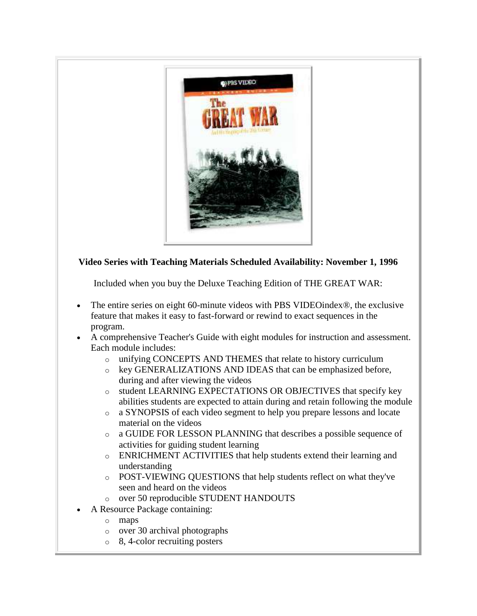

### **Video Series with Teaching Materials Scheduled Availability: November 1, 1996**

Included when you buy the Deluxe Teaching Edition of THE GREAT WAR:

- The entire series on eight 60-minute videos with PBS VIDEOindex®, the exclusive feature that makes it easy to fast-forward or rewind to exact sequences in the program.
- A comprehensive Teacher's Guide with eight modules for instruction and assessment. Each module includes:
	- o unifying CONCEPTS AND THEMES that relate to history curriculum
	- o key GENERALIZATIONS AND IDEAS that can be emphasized before, during and after viewing the videos
	- o student LEARNING EXPECTATIONS OR OBJECTIVES that specify key abilities students are expected to attain during and retain following the module
	- o a SYNOPSIS of each video segment to help you prepare lessons and locate material on the videos
	- o a GUIDE FOR LESSON PLANNING that describes a possible sequence of activities for guiding student learning
	- o ENRICHMENT ACTIVITIES that help students extend their learning and understanding
	- o POST-VIEWING QUESTIONS that help students reflect on what they've seen and heard on the videos
	- o over 50 reproducible STUDENT HANDOUTS
- A Resource Package containing:
	- o maps
	- o over 30 archival photographs
	- o 8, 4-color recruiting posters